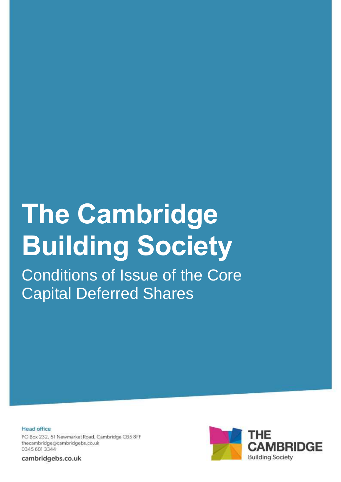# **The Cambridge Building Society**

Conditions of Issue of the Core Capital Deferred Shares

**Head office** PO Box 232, 51 Newmarket Road, Cambridge CB5 8FF thecambridge@cambridgebs.co.uk 0345 601 3344

cambridgebs.co.uk

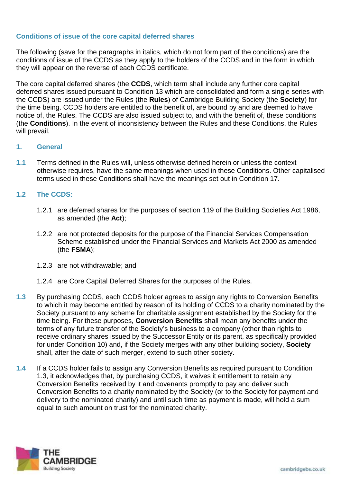# **Conditions of issue of the core capital deferred shares**

The following (save for the paragraphs in italics, which do not form part of the conditions) are the conditions of issue of the CCDS as they apply to the holders of the CCDS and in the form in which they will appear on the reverse of each CCDS certificate.

The core capital deferred shares (the **CCDS**, which term shall include any further core capital deferred shares issued pursuant to Condition 13 which are consolidated and form a single series with the CCDS) are issued under the Rules (the **Rules**) of Cambridge Building Society (the **Society**) for the time being. CCDS holders are entitled to the benefit of, are bound by and are deemed to have notice of, the Rules. The CCDS are also issued subject to, and with the benefit of, these conditions (the **Conditions**). In the event of inconsistency between the Rules and these Conditions, the Rules will prevail.

## **1. General**

**1.1** Terms defined in the Rules will, unless otherwise defined herein or unless the context otherwise requires, have the same meanings when used in these Conditions. Other capitalised terms used in these Conditions shall have the meanings set out in Condition 17.

## **1.2 The CCDS:**

- 1.2.1 are deferred shares for the purposes of section 119 of the Building Societies Act 1986, as amended (the **Act**);
- 1.2.2 are not protected deposits for the purpose of the Financial Services Compensation Scheme established under the Financial Services and Markets Act 2000 as amended (the **FSMA**);
- 1.2.3 are not withdrawable; and
- 1.2.4 are Core Capital Deferred Shares for the purposes of the Rules.
- **1.3** By purchasing CCDS, each CCDS holder agrees to assign any rights to Conversion Benefits to which it may become entitled by reason of its holding of CCDS to a charity nominated by the Society pursuant to any scheme for charitable assignment established by the Society for the time being. For these purposes, **Conversion Benefits** shall mean any benefits under the terms of any future transfer of the Society's business to a company (other than rights to receive ordinary shares issued by the Successor Entity or its parent, as specifically provided for under Condition 10) and, if the Society merges with any other building society, **Society** shall, after the date of such merger, extend to such other society.
- **1.4** If a CCDS holder fails to assign any Conversion Benefits as required pursuant to Condition 1.3, it acknowledges that, by purchasing CCDS, it waives it entitlement to retain any Conversion Benefits received by it and covenants promptly to pay and deliver such Conversion Benefits to a charity nominated by the Society (or to the Society for payment and delivery to the nominated charity) and until such time as payment is made, will hold a sum equal to such amount on trust for the nominated charity.

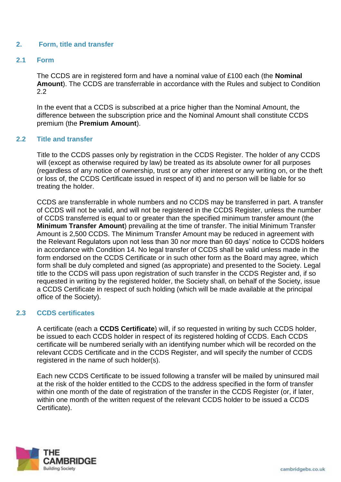## **2. Form, title and transfer**

## **2.1 Form**

The CCDS are in registered form and have a nominal value of £100 each (the **Nominal Amount**). The CCDS are transferrable in accordance with the Rules and subject to Condition 2.2

In the event that a CCDS is subscribed at a price higher than the Nominal Amount, the difference between the subscription price and the Nominal Amount shall constitute CCDS premium (the **Premium Amount**).

#### **2.2 Title and transfer**

Title to the CCDS passes only by registration in the CCDS Register. The holder of any CCDS will (except as otherwise required by law) be treated as its absolute owner for all purposes (regardless of any notice of ownership, trust or any other interest or any writing on, or the theft or loss of, the CCDS Certificate issued in respect of it) and no person will be liable for so treating the holder.

CCDS are transferrable in whole numbers and no CCDS may be transferred in part. A transfer of CCDS will not be valid, and will not be registered in the CCDS Register, unless the number of CCDS transferred is equal to or greater than the specified minimum transfer amount (the **Minimum Transfer Amount**) prevailing at the time of transfer. The initial Minimum Transfer Amount is 2,500 CCDS. The Minimum Transfer Amount may be reduced in agreement with the Relevant Regulators upon not less than 30 nor more than 60 days' notice to CCDS holders in accordance with Condition 14. No legal transfer of CCDS shall be valid unless made in the form endorsed on the CCDS Certificate or in such other form as the Board may agree, which form shall be duly completed and signed (as appropriate) and presented to the Society. Legal title to the CCDS will pass upon registration of such transfer in the CCDS Register and, if so requested in writing by the registered holder, the Society shall, on behalf of the Society, issue a CCDS Certificate in respect of such holding (which will be made available at the principal office of the Society).

#### **2.3 CCDS certificates**

A certificate (each a **CCDS Certificate**) will, if so requested in writing by such CCDS holder, be issued to each CCDS holder in respect of its registered holding of CCDS. Each CCDS certificate will be numbered serially with an identifying number which will be recorded on the relevant CCDS Certificate and in the CCDS Register, and will specify the number of CCDS registered in the name of such holder(s).

Each new CCDS Certificate to be issued following a transfer will be mailed by uninsured mail at the risk of the holder entitled to the CCDS to the address specified in the form of transfer within one month of the date of registration of the transfer in the CCDS Register (or, if later, within one month of the written request of the relevant CCDS holder to be issued a CCDS Certificate).

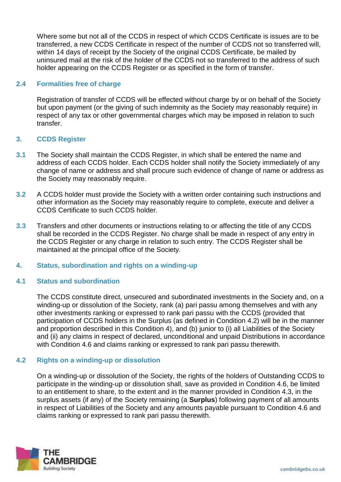Where some but not all of the CCDS in respect of which CCDS Certificate is issues are to be transferred, a new CCDS Certificate in respect of the number of CCDS not so transferred will, within 14 days of receipt by the Society of the original CCDS Certificate, be mailed by uninsured mail at the risk of the holder of the CCDS not so transferred to the address of such holder appearing on the CCDS Register or as specified in the form of transfer.

## **2.4 Formalities free of charge**

Registration of transfer of CCDS will be effected without charge by or on behalf of the Society but upon payment (or the giving of such indemnity as the Society may reasonably require) in respect of any tax or other governmental charges which may be imposed in relation to such transfer.

## **3. CCDS Register**

- **3.1** The Society shall maintain the CCDS Register, in which shall be entered the name and address of each CCDS holder. Each CCDS holder shall notify the Society immediately of any change of name or address and shall procure such evidence of change of name or address as the Society may reasonably require.
- **3.2** A CCDS holder must provide the Society with a written order containing such instructions and other information as the Society may reasonably require to complete, execute and deliver a CCDS Certificate to such CCDS holder.
- **3.3** Transfers and other documents or instructions relating to or affecting the title of any CCDS shall be recorded in the CCDS Register. No charge shall be made in respect of any entry in the CCDS Register or any charge in relation to such entry. The CCDS Register shall be maintained at the principal office of the Society.

#### **4. Status, subordination and rights on a winding-up**

#### **4.1 Status and subordination**

The CCDS constitute direct, unsecured and subordinated investments in the Society and, on a winding-up or dissolution of the Society, rank (a) pari passu among themselves and with any other investments ranking or expressed to rank pari passu with the CCDS (provided that participation of CCDS holders in the Surplus (as defined in Condition 4.2) will be in the manner and proportion described in this Condition 4), and (b) junior to (i) all Liabilities of the Society and (ii) any claims in respect of declared, unconditional and unpaid Distributions in accordance with Condition 4.6 and claims ranking or expressed to rank pari passu therewith.

## **4.2 Rights on a winding-up or dissolution**

On a winding-up or dissolution of the Society, the rights of the holders of Outstanding CCDS to participate in the winding-up or dissolution shall, save as provided in Condition 4.6, be limited to an entitlement to share, to the extent and in the manner provided in Condition 4.3, in the surplus assets (if any) of the Society remaining (a **Surplus**) following payment of all amounts in respect of Liabilities of the Society and any amounts payable pursuant to Condition 4.6 and claims ranking or expressed to rank pari passu therewith.

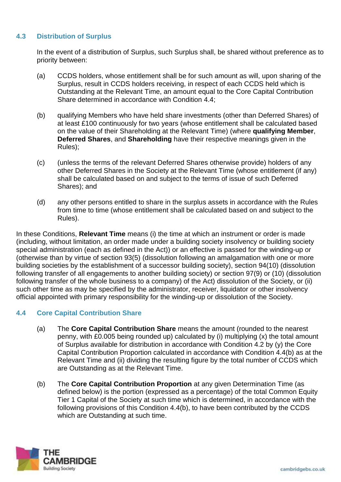# **4.3 Distribution of Surplus**

In the event of a distribution of Surplus, such Surplus shall, be shared without preference as to priority between:

- (a) CCDS holders, whose entitlement shall be for such amount as will, upon sharing of the Surplus, result in CCDS holders receiving, in respect of each CCDS held which is Outstanding at the Relevant Time, an amount equal to the Core Capital Contribution Share determined in accordance with Condition 4.4;
- (b) qualifying Members who have held share investments (other than Deferred Shares) of at least £100 continuously for two years (whose entitlement shall be calculated based on the value of their Shareholding at the Relevant Time) (where **qualifying Member**, **Deferred Shares**, and **Shareholding** have their respective meanings given in the Rules);
- (c) (unless the terms of the relevant Deferred Shares otherwise provide) holders of any other Deferred Shares in the Society at the Relevant Time (whose entitlement (if any) shall be calculated based on and subject to the terms of issue of such Deferred Shares); and
- (d) any other persons entitled to share in the surplus assets in accordance with the Rules from time to time (whose entitlement shall be calculated based on and subject to the Rules).

In these Conditions, **Relevant Time** means (i) the time at which an instrument or order is made (including, without limitation, an order made under a building society insolvency or building society special administration (each as defined in the Act)) or an effective is passed for the winding-up or (otherwise than by virtue of section 93(5) (dissolution following an amalgamation with one or more building societies by the establishment of a successor building society), section 94(10) (dissolution following transfer of all engagements to another building society) or section 97(9) or (10) (dissolution following transfer of the whole business to a company) of the Act) dissolution of the Society, or (ii) such other time as may be specified by the administrator, receiver, liquidator or other insolvency official appointed with primary responsibility for the winding-up or dissolution of the Society.

# **4.4 Core Capital Contribution Share**

- (a) The **Core Capital Contribution Share** means the amount (rounded to the nearest penny, with £0.005 being rounded up) calculated by (i) multiplying (x) the total amount of Surplus available for distribution in accordance with Condition 4.2 by (y) the Core Capital Contribution Proportion calculated in accordance with Condition 4.4(b) as at the Relevant Time and (ii) dividing the resulting figure by the total number of CCDS which are Outstanding as at the Relevant Time.
- (b) The **Core Capital Contribution Proportion** at any given Determination Time (as defined below) is the portion (expressed as a percentage) of the total Common Equity Tier 1 Capital of the Society at such time which is determined, in accordance with the following provisions of this Condition 4.4(b), to have been contributed by the CCDS which are Outstanding at such time.

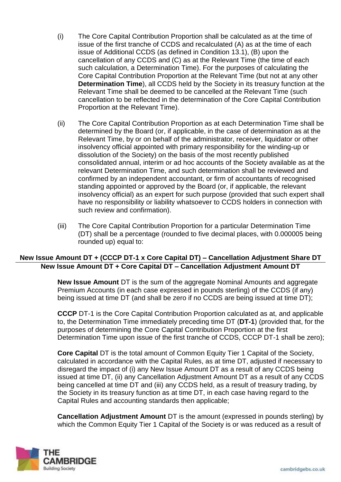- (i) The Core Capital Contribution Proportion shall be calculated as at the time of issue of the first tranche of CCDS and recalculated (A) as at the time of each issue of Additional CCDS (as defined in Condition 13.1), (B) upon the cancellation of any CCDS and (C) as at the Relevant Time (the time of each such calculation, a Determination Time). For the purposes of calculating the Core Capital Contribution Proportion at the Relevant Time (but not at any other **Determination Time**), all CCDS held by the Society in its treasury function at the Relevant Time shall be deemed to be cancelled at the Relevant Time (such cancellation to be reflected in the determination of the Core Capital Contribution Proportion at the Relevant Time).
- (ii) The Core Capital Contribution Proportion as at each Determination Time shall be determined by the Board (or, if applicable, in the case of determination as at the Relevant Time, by or on behalf of the administrator, receiver, liquidator or other insolvency official appointed with primary responsibility for the winding-up or dissolution of the Society) on the basis of the most recently published consolidated annual, interim or ad hoc accounts of the Society available as at the relevant Determination Time, and such determination shall be reviewed and confirmed by an independent accountant, or firm of accountants of recognised standing appointed or approved by the Board (or, if applicable, the relevant insolvency official) as an expert for such purpose (provided that such expert shall have no responsibility or liability whatsoever to CCDS holders in connection with such review and confirmation).
- (iii) The Core Capital Contribution Proportion for a particular Determination Time (DT) shall be a percentage (rounded to five decimal places, with 0.000005 being rounded up) equal to:

# **New Issue Amount DT + (CCCP DT-1 x Core Capital DT) – Cancellation Adjustment Share DT New Issue Amount DT + Core Capital DT – Cancellation Adjustment Amount DT**

**New Issue Amount** DT is the sum of the aggregate Nominal Amounts and aggregate Premium Accounts (in each case expressed in pounds sterling) of the CCDS (if any) being issued at time DT (and shall be zero if no CCDS are being issued at time DT);

**CCCP** DT-1 is the Core Capital Contribution Proportion calculated as at, and applicable to, the Determination Time immediately preceding time DT (**DT-1**) (provided that, for the purposes of determining the Core Capital Contribution Proportion at the first Determination Time upon issue of the first tranche of CCDS, CCCP DT-1 shall be zero);

**Core Capital** DT is the total amount of Common Equity Tier 1 Capital of the Society, calculated in accordance with the Capital Rules, as at time DT, adjusted if necessary to disregard the impact of (i) any New Issue Amount DT as a result of any CCDS being issued at time DT, (ii) any Cancellation Adjustment Amount DT as a result of any CCDS being cancelled at time DT and (iii) any CCDS held, as a result of treasury trading, by the Society in its treasury function as at time DT, in each case having regard to the Capital Rules and accounting standards then applicable;

**Cancellation Adjustment Amount** DT is the amount (expressed in pounds sterling) by which the Common Equity Tier 1 Capital of the Society is or was reduced as a result of

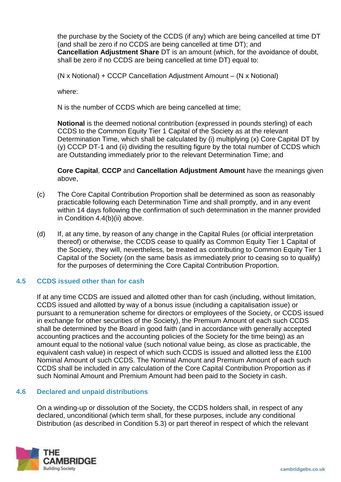the purchase by the Society of the CCDS (if any) which are being cancelled at time DT (and shall be zero if no CCDS are being cancelled at time DT); and **Cancellation Adjustment Share** DT is an amount (which, for the avoidance of doubt, shall be zero if no CCDS are being cancelled at time DT) equal to:

(N x Notional) + CCCP Cancellation Adjustment Amount – (N x Notional)

where:

N is the number of CCDS which are being cancelled at time;

**Notional** is the deemed notional contribution (expressed in pounds sterling) of each CCDS to the Common Equity Tier 1 Capital of the Society as at the relevant Determination Time, which shall be calculated by (i) multiplying (x) Core Capital DT by (y) CCCP DT-1 and (ii) dividing the resulting figure by the total number of CCDS which are Outstanding immediately prior to the relevant Determination Time; and

**Core Capital**, **CCCP** and **Cancellation Adjustment Amount** have the meanings given above,

- (c) The Core Capital Contribution Proportion shall be determined as soon as reasonably practicable following each Determination Time and shall promptly, and in any event within 14 days following the confirmation of such determination in the manner provided in Condition 4.4(b)(ii) above.
- (d) If, at any time, by reason of any change in the Capital Rules (or official interpretation thereof) or otherwise, the CCDS cease to qualify as Common Equity Tier 1 Capital of the Society, they will, nevertheless, be treated as contributing to Common Equity Tier 1 Capital of the Society (on the same basis as immediately prior to ceasing so to qualify) for the purposes of determining the Core Capital Contribution Proportion.

## **4.5 CCDS issued other than for cash**

If at any time CCDS are issued and allotted other than for cash (including, without limitation, CCDS issued and allotted by way of a bonus issue (including a capitalisation issue) or pursuant to a remuneration scheme for directors or employees of the Society, or CCDS issued in exchange for other securities of the Society), the Premium Amount of each such CCDS shall be determined by the Board in good faith (and in accordance with generally accepted accounting practices and the accounting policies of the Society for the time being) as an amount equal to the notional value (such notional value being, as close as practicable, the equivalent cash value) in respect of which such CCDS is issued and allotted less the £100 Nominal Amount of such CCDS. The Nominal Amount and Premium Amount of each such CCDS shall be included in any calculation of the Core Capital Contribution Proportion as if such Nominal Amount and Premium Amount had been paid to the Society in cash.

## **4.6 Declared and unpaid distributions**

On a winding-up or dissolution of the Society, the CCDS holders shall, in respect of any declared, unconditional (which term shall, for these purposes, include any conditional Distribution (as described in Condition 5.3) or part thereof in respect of which the relevant

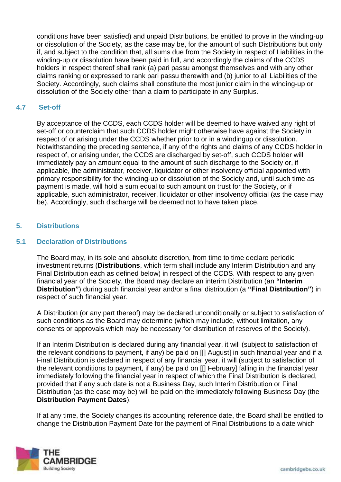conditions have been satisfied) and unpaid Distributions, be entitled to prove in the winding-up or dissolution of the Society, as the case may be, for the amount of such Distributions but only if, and subject to the condition that, all sums due from the Society in respect of Liabilities in the winding-up or dissolution have been paid in full, and accordingly the claims of the CCDS holders in respect thereof shall rank (a) pari passu amongst themselves and with any other claims ranking or expressed to rank pari passu therewith and (b) junior to all Liabilities of the Society. Accordingly, such claims shall constitute the most junior claim in the winding-up or dissolution of the Society other than a claim to participate in any Surplus.

# **4.7 Set-off**

By acceptance of the CCDS, each CCDS holder will be deemed to have waived any right of set-off or counterclaim that such CCDS holder might otherwise have against the Society in respect of or arising under the CCDS whether prior to or in a windingup or dissolution. Notwithstanding the preceding sentence, if any of the rights and claims of any CCDS holder in respect of, or arising under, the CCDS are discharged by set-off, such CCDS holder will immediately pay an amount equal to the amount of such discharge to the Society or, if applicable, the administrator, receiver, liquidator or other insolvency official appointed with primary responsibility for the winding-up or dissolution of the Society and, until such time as payment is made, will hold a sum equal to such amount on trust for the Society, or if applicable, such administrator, receiver, liquidator or other insolvency official (as the case may be). Accordingly, such discharge will be deemed not to have taken place.

# **5. Distributions**

## **5.1 Declaration of Distributions**

The Board may, in its sole and absolute discretion, from time to time declare periodic investment returns (**Distributions**, which term shall include any Interim Distribution and any Final Distribution each as defined below) in respect of the CCDS. With respect to any given financial year of the Society, the Board may declare an interim Distribution (an **"Interim Distribution"**) during such financial year and/or a final distribution (a **"Final Distribution"**) in respect of such financial year.

A Distribution (or any part thereof) may be declared unconditionally or subject to satisfaction of such conditions as the Board may determine (which may include, without limitation, any consents or approvals which may be necessary for distribution of reserves of the Society).

If an Interim Distribution is declared during any financial year, it will (subject to satisfaction of the relevant conditions to payment, if any) be paid on [[] August] in such financial year and if a Final Distribution is declared in respect of any financial year, it will (subject to satisfaction of the relevant conditions to payment, if any) be paid on [[] February] falling in the financial year immediately following the financial year in respect of which the Final Distribution is declared, provided that if any such date is not a Business Day, such Interim Distribution or Final Distribution (as the case may be) will be paid on the immediately following Business Day (the **Distribution Payment Dates**).

If at any time, the Society changes its accounting reference date, the Board shall be entitled to change the Distribution Payment Date for the payment of Final Distributions to a date which

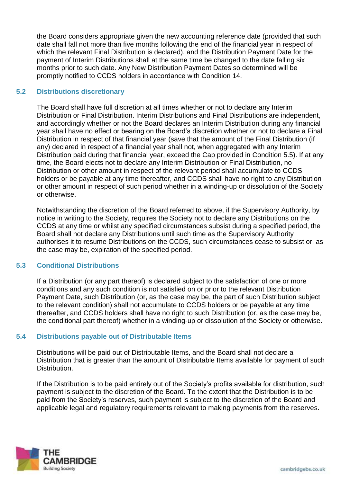the Board considers appropriate given the new accounting reference date (provided that such date shall fall not more than five months following the end of the financial year in respect of which the relevant Final Distribution is declared), and the Distribution Payment Date for the payment of Interim Distributions shall at the same time be changed to the date falling six months prior to such date. Any New Distribution Payment Dates so determined will be promptly notified to CCDS holders in accordance with Condition 14.

# **5.2 Distributions discretionary**

The Board shall have full discretion at all times whether or not to declare any Interim Distribution or Final Distribution. Interim Distributions and Final Distributions are independent, and accordingly whether or not the Board declares an Interim Distribution during any financial year shall have no effect or bearing on the Board's discretion whether or not to declare a Final Distribution in respect of that financial year (save that the amount of the Final Distribution (if any) declared in respect of a financial year shall not, when aggregated with any Interim Distribution paid during that financial year, exceed the Cap provided in Condition 5.5). If at any time, the Board elects not to declare any Interim Distribution or Final Distribution, no Distribution or other amount in respect of the relevant period shall accumulate to CCDS holders or be payable at any time thereafter, and CCDS shall have no right to any Distribution or other amount in respect of such period whether in a winding-up or dissolution of the Society or otherwise.

Notwithstanding the discretion of the Board referred to above, if the Supervisory Authority, by notice in writing to the Society, requires the Society not to declare any Distributions on the CCDS at any time or whilst any specified circumstances subsist during a specified period, the Board shall not declare any Distributions until such time as the Supervisory Authority authorises it to resume Distributions on the CCDS, such circumstances cease to subsist or, as the case may be, expiration of the specified period.

# **5.3 Conditional Distributions**

If a Distribution (or any part thereof) is declared subject to the satisfaction of one or more conditions and any such condition is not satisfied on or prior to the relevant Distribution Payment Date, such Distribution (or, as the case may be, the part of such Distribution subject to the relevant condition) shall not accumulate to CCDS holders or be payable at any time thereafter, and CCDS holders shall have no right to such Distribution (or, as the case may be, the conditional part thereof) whether in a winding-up or dissolution of the Society or otherwise.

# **5.4 Distributions payable out of Distributable Items**

Distributions will be paid out of Distributable Items, and the Board shall not declare a Distribution that is greater than the amount of Distributable Items available for payment of such **Distribution** 

If the Distribution is to be paid entirely out of the Society's profits available for distribution, such payment is subject to the discretion of the Board. To the extent that the Distribution is to be paid from the Society's reserves, such payment is subject to the discretion of the Board and applicable legal and regulatory requirements relevant to making payments from the reserves.

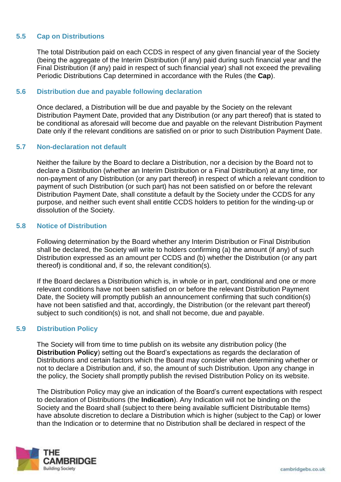# **5.5 Cap on Distributions**

The total Distribution paid on each CCDS in respect of any given financial year of the Society (being the aggregate of the Interim Distribution (if any) paid during such financial year and the Final Distribution (if any) paid in respect of such financial year) shall not exceed the prevailing Periodic Distributions Cap determined in accordance with the Rules (the **Cap**).

## **5.6 Distribution due and payable following declaration**

Once declared, a Distribution will be due and payable by the Society on the relevant Distribution Payment Date, provided that any Distribution (or any part thereof) that is stated to be conditional as aforesaid will become due and payable on the relevant Distribution Payment Date only if the relevant conditions are satisfied on or prior to such Distribution Payment Date.

## **5.7 Non-declaration not default**

Neither the failure by the Board to declare a Distribution, nor a decision by the Board not to declare a Distribution (whether an Interim Distribution or a Final Distribution) at any time, nor non-payment of any Distribution (or any part thereof) in respect of which a relevant condition to payment of such Distribution (or such part) has not been satisfied on or before the relevant Distribution Payment Date, shall constitute a default by the Society under the CCDS for any purpose, and neither such event shall entitle CCDS holders to petition for the winding-up or dissolution of the Society.

## **5.8 Notice of Distribution**

Following determination by the Board whether any Interim Distribution or Final Distribution shall be declared, the Society will write to holders confirming (a) the amount (if any) of such Distribution expressed as an amount per CCDS and (b) whether the Distribution (or any part thereof) is conditional and, if so, the relevant condition(s).

If the Board declares a Distribution which is, in whole or in part, conditional and one or more relevant conditions have not been satisfied on or before the relevant Distribution Payment Date, the Society will promptly publish an announcement confirming that such condition(s) have not been satisfied and that, accordingly, the Distribution (or the relevant part thereof) subject to such condition(s) is not, and shall not become, due and payable.

## **5.9 Distribution Policy**

The Society will from time to time publish on its website any distribution policy (the **Distribution Policy**) setting out the Board's expectations as regards the declaration of Distributions and certain factors which the Board may consider when determining whether or not to declare a Distribution and, if so, the amount of such Distribution. Upon any change in the policy, the Society shall promptly publish the revised Distribution Policy on its website.

The Distribution Policy may give an indication of the Board's current expectations with respect to declaration of Distributions (the **Indication**). Any Indication will not be binding on the Society and the Board shall (subject to there being available sufficient Distributable Items) have absolute discretion to declare a Distribution which is higher (subject to the Cap) or lower than the Indication or to determine that no Distribution shall be declared in respect of the

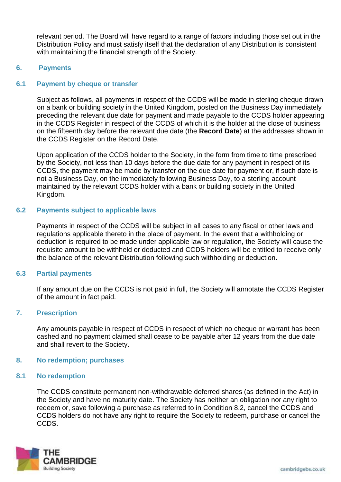relevant period. The Board will have regard to a range of factors including those set out in the Distribution Policy and must satisfy itself that the declaration of any Distribution is consistent with maintaining the financial strength of the Society.

## **6. Payments**

#### **6.1 Payment by cheque or transfer**

Subject as follows, all payments in respect of the CCDS will be made in sterling cheque drawn on a bank or building society in the United Kingdom, posted on the Business Day immediately preceding the relevant due date for payment and made payable to the CCDS holder appearing in the CCDS Register in respect of the CCDS of which it is the holder at the close of business on the fifteenth day before the relevant due date (the **Record Date**) at the addresses shown in the CCDS Register on the Record Date.

Upon application of the CCDS holder to the Society, in the form from time to time prescribed by the Society, not less than 10 days before the due date for any payment in respect of its CCDS, the payment may be made by transfer on the due date for payment or, if such date is not a Business Day, on the immediately following Business Day, to a sterling account maintained by the relevant CCDS holder with a bank or building society in the United Kingdom.

## **6.2 Payments subject to applicable laws**

Payments in respect of the CCDS will be subject in all cases to any fiscal or other laws and regulations applicable thereto in the place of payment. In the event that a withholding or deduction is required to be made under applicable law or regulation, the Society will cause the requisite amount to be withheld or deducted and CCDS holders will be entitled to receive only the balance of the relevant Distribution following such withholding or deduction.

#### **6.3 Partial payments**

If any amount due on the CCDS is not paid in full, the Society will annotate the CCDS Register of the amount in fact paid.

#### **7. Prescription**

Any amounts payable in respect of CCDS in respect of which no cheque or warrant has been cashed and no payment claimed shall cease to be payable after 12 years from the due date and shall revert to the Society.

#### **8. No redemption; purchases**

#### **8.1 No redemption**

The CCDS constitute permanent non-withdrawable deferred shares (as defined in the Act) in the Society and have no maturity date. The Society has neither an obligation nor any right to redeem or, save following a purchase as referred to in Condition 8.2, cancel the CCDS and CCDS holders do not have any right to require the Society to redeem, purchase or cancel the CCDS.

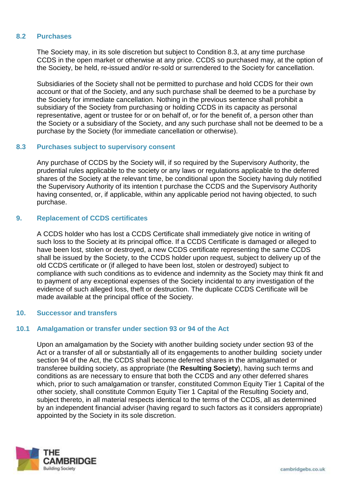## **8.2 Purchases**

The Society may, in its sole discretion but subject to Condition 8.3, at any time purchase CCDS in the open market or otherwise at any price. CCDS so purchased may, at the option of the Society, be held, re-issued and/or re-sold or surrendered to the Society for cancellation.

Subsidiaries of the Society shall not be permitted to purchase and hold CCDS for their own account or that of the Society, and any such purchase shall be deemed to be a purchase by the Society for immediate cancellation. Nothing in the previous sentence shall prohibit a subsidiary of the Society from purchasing or holding CCDS in its capacity as personal representative, agent or trustee for or on behalf of, or for the benefit of, a person other than the Society or a subsidiary of the Society, and any such purchase shall not be deemed to be a purchase by the Society (for immediate cancellation or otherwise).

## **8.3 Purchases subject to supervisory consent**

Any purchase of CCDS by the Society will, if so required by the Supervisory Authority, the prudential rules applicable to the society or any laws or regulations applicable to the deferred shares of the Society at the relevant time, be conditional upon the Society having duly notified the Supervisory Authority of its intention t purchase the CCDS and the Supervisory Authority having consented, or, if applicable, within any applicable period not having objected, to such purchase.

## **9. Replacement of CCDS certificates**

A CCDS holder who has lost a CCDS Certificate shall immediately give notice in writing of such loss to the Society at its principal office. If a CCDS Certificate is damaged or alleged to have been lost, stolen or destroyed, a new CCDS certificate representing the same CCDS shall be issued by the Society, to the CCDS holder upon request, subject to delivery up of the old CCDS certificate or (if alleged to have been lost, stolen or destroyed) subject to compliance with such conditions as to evidence and indemnity as the Society may think fit and to payment of any exceptional expenses of the Society incidental to any investigation of the evidence of such alleged loss, theft or destruction. The duplicate CCDS Certificate will be made available at the principal office of the Society.

#### **10. Successor and transfers**

## **10.1 Amalgamation or transfer under section 93 or 94 of the Act**

Upon an amalgamation by the Society with another building society under section 93 of the Act or a transfer of all or substantially all of its engagements to another building society under section 94 of the Act, the CCDS shall become deferred shares in the amalgamated or transferee building society, as appropriate (the **Resulting Society**), having such terms and conditions as are necessary to ensure that both the CCDS and any other deferred shares which, prior to such amalgamation or transfer, constituted Common Equity Tier 1 Capital of the other society, shall constitute Common Equity Tier 1 Capital of the Resulting Society and, subject thereto, in all material respects identical to the terms of the CCDS, all as determined by an independent financial adviser (having regard to such factors as it considers appropriate) appointed by the Society in its sole discretion.

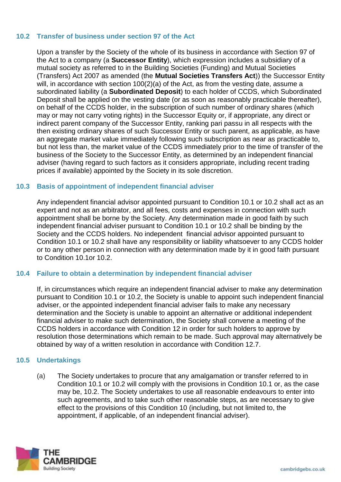# **10.2 Transfer of business under section 97 of the Act**

Upon a transfer by the Society of the whole of its business in accordance with Section 97 of the Act to a company (a **Successor Entity**), which expression includes a subsidiary of a mutual society as referred to in the Building Societies (Funding) and Mutual Societies (Transfers) Act 2007 as amended (the **Mutual Societies Transfers Act**)) the Successor Entity will, in accordance with section 100(2)(a) of the Act, as from the vesting date, assume a subordinated liability (a **Subordinated Deposit**) to each holder of CCDS, which Subordinated Deposit shall be applied on the vesting date (or as soon as reasonably practicable thereafter), on behalf of the CCDS holder, in the subscription of such number of ordinary shares (which may or may not carry voting rights) in the Successor Equity or, if appropriate, any direct or indirect parent company of the Successor Entity, ranking pari passu in all respects with the then existing ordinary shares of such Successor Entity or such parent, as applicable, as have an aggregate market value immediately following such subscription as near as practicable to, but not less than, the market value of the CCDS immediately prior to the time of transfer of the business of the Society to the Successor Entity, as determined by an independent financial adviser (having regard to such factors as it considers appropriate, including recent trading prices if available) appointed by the Society in its sole discretion.

## **10.3 Basis of appointment of independent financial adviser**

Any independent financial advisor appointed pursuant to Condition 10.1 or 10.2 shall act as an expert and not as an arbitrator, and all fees, costs and expenses in connection with such appointment shall be borne by the Society. Any determination made in good faith by such independent financial adviser pursuant to Condition 10.1 or 10.2 shall be binding by the Society and the CCDS holders. No independent financial advisor appointed pursuant to Condition 10.1 or 10.2 shall have any responsibility or liability whatsoever to any CCDS holder or to any other person in connection with any determination made by it in good faith pursuant to Condition 10.1or 10.2.

## **10.4 Failure to obtain a determination by independent financial adviser**

If, in circumstances which require an independent financial adviser to make any determination pursuant to Condition 10.1 or 10.2, the Society is unable to appoint such independent financial adviser, or the appointed independent financial adviser fails to make any necessary determination and the Society is unable to appoint an alternative or additional independent financial adviser to make such determination, the Society shall convene a meeting of the CCDS holders in accordance with Condition 12 in order for such holders to approve by resolution those determinations which remain to be made. Such approval may alternatively be obtained by way of a written resolution in accordance with Condition 12.7.

# **10.5 Undertakings**

(a) The Society undertakes to procure that any amalgamation or transfer referred to in Condition 10.1 or 10.2 will comply with the provisions in Condition 10.1 or, as the case may be, 10.2. The Society undertakes to use all reasonable endeavours to enter into such agreements, and to take such other reasonable steps, as are necessary to give effect to the provisions of this Condition 10 (including, but not limited to, the appointment, if applicable, of an independent financial adviser).

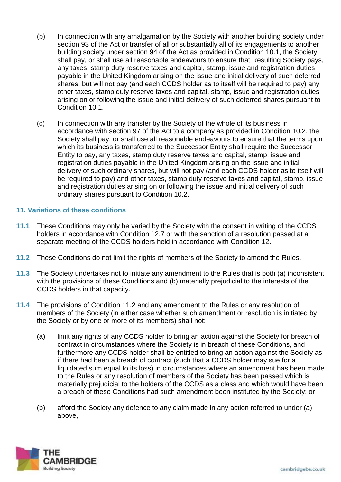- (b) In connection with any amalgamation by the Society with another building society under section 93 of the Act or transfer of all or substantially all of its engagements to another building society under section 94 of the Act as provided in Condition 10.1, the Society shall pay, or shall use all reasonable endeavours to ensure that Resulting Society pays, any taxes, stamp duty reserve taxes and capital, stamp, issue and registration duties payable in the United Kingdom arising on the issue and initial delivery of such deferred shares, but will not pay (and each CCDS holder as to itself will be required to pay) any other taxes, stamp duty reserve taxes and capital, stamp, issue and registration duties arising on or following the issue and initial delivery of such deferred shares pursuant to Condition 10.1.
- (c) In connection with any transfer by the Society of the whole of its business in accordance with section 97 of the Act to a company as provided in Condition 10.2, the Society shall pay, or shall use all reasonable endeavours to ensure that the terms upon which its business is transferred to the Successor Entity shall require the Successor Entity to pay, any taxes, stamp duty reserve taxes and capital, stamp, issue and registration duties payable in the United Kingdom arising on the issue and initial delivery of such ordinary shares, but will not pay (and each CCDS holder as to itself will be required to pay) and other taxes, stamp duty reserve taxes and capital, stamp, issue and registration duties arising on or following the issue and initial delivery of such ordinary shares pursuant to Condition 10.2.

# **11. Variations of these conditions**

- **11.1** These Conditions may only be varied by the Society with the consent in writing of the CCDS holders in accordance with Condition 12.7 or with the sanction of a resolution passed at a separate meeting of the CCDS holders held in accordance with Condition 12.
- **11.2** These Conditions do not limit the rights of members of the Society to amend the Rules.
- **11.3** The Society undertakes not to initiate any amendment to the Rules that is both (a) inconsistent with the provisions of these Conditions and (b) materially prejudicial to the interests of the CCDS holders in that capacity.
- **11.4** The provisions of Condition 11.2 and any amendment to the Rules or any resolution of members of the Society (in either case whether such amendment or resolution is initiated by the Society or by one or more of its members) shall not:
	- (a) limit any rights of any CCDS holder to bring an action against the Society for breach of contract in circumstances where the Society is in breach of these Conditions, and furthermore any CCDS holder shall be entitled to bring an action against the Society as if there had been a breach of contract (such that a CCDS holder may sue for a liquidated sum equal to its loss) in circumstances where an amendment has been made to the Rules or any resolution of members of the Society has been passed which is materially prejudicial to the holders of the CCDS as a class and which would have been a breach of these Conditions had such amendment been instituted by the Society; or
	- (b) afford the Society any defence to any claim made in any action referred to under (a) above,

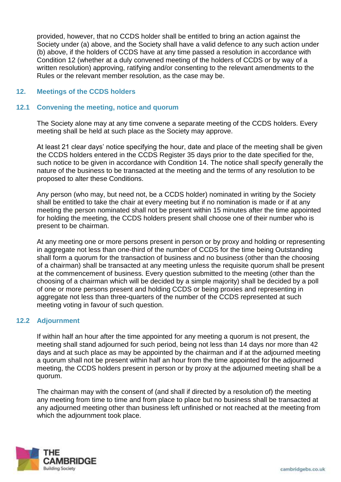provided, however, that no CCDS holder shall be entitled to bring an action against the Society under (a) above, and the Society shall have a valid defence to any such action under (b) above, if the holders of CCDS have at any time passed a resolution in accordance with Condition 12 (whether at a duly convened meeting of the holders of CCDS or by way of a written resolution) approving, ratifying and/or consenting to the relevant amendments to the Rules or the relevant member resolution, as the case may be.

## **12. Meetings of the CCDS holders**

## **12.1 Convening the meeting, notice and quorum**

The Society alone may at any time convene a separate meeting of the CCDS holders. Every meeting shall be held at such place as the Society may approve.

At least 21 clear days' notice specifying the hour, date and place of the meeting shall be given the CCDS holders entered in the CCDS Register 35 days prior to the date specified for the, such notice to be given in accordance with Condition 14. The notice shall specify generally the nature of the business to be transacted at the meeting and the terms of any resolution to be proposed to alter these Conditions.

Any person (who may, but need not, be a CCDS holder) nominated in writing by the Society shall be entitled to take the chair at every meeting but if no nomination is made or if at any meeting the person nominated shall not be present within 15 minutes after the time appointed for holding the meeting, the CCDS holders present shall choose one of their number who is present to be chairman.

At any meeting one or more persons present in person or by proxy and holding or representing in aggregate not less than one-third of the number of CCDS for the time being Outstanding shall form a quorum for the transaction of business and no business (other than the choosing of a chairman) shall be transacted at any meeting unless the requisite quorum shall be present at the commencement of business. Every question submitted to the meeting (other than the choosing of a chairman which will be decided by a simple majority) shall be decided by a poll of one or more persons present and holding CCDS or being proxies and representing in aggregate not less than three-quarters of the number of the CCDS represented at such meeting voting in favour of such question.

## **12.2 Adjournment**

If within half an hour after the time appointed for any meeting a quorum is not present, the meeting shall stand adjourned for such period, being not less than 14 days nor more than 42 days and at such place as may be appointed by the chairman and if at the adjourned meeting a quorum shall not be present within half an hour from the time appointed for the adjourned meeting, the CCDS holders present in person or by proxy at the adjourned meeting shall be a quorum.

The chairman may with the consent of (and shall if directed by a resolution of) the meeting any meeting from time to time and from place to place but no business shall be transacted at any adjourned meeting other than business left unfinished or not reached at the meeting from which the adjournment took place.

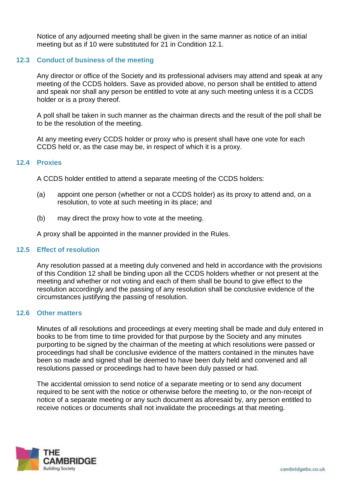Notice of any adjourned meeting shall be given in the same manner as notice of an initial meeting but as if 10 were substituted for 21 in Condition 12.1.

# **12.3 Conduct of business of the meeting**

Any director or office of the Society and its professional advisers may attend and speak at any meeting of the CCDS holders. Save as provided above, no person shall be entitled to attend and speak nor shall any person be entitled to vote at any such meeting unless it is a CCDS holder or is a proxy thereof.

A poll shall be taken in such manner as the chairman directs and the result of the poll shall be to be the resolution of the meeting.

At any meeting every CCDS holder or proxy who is present shall have one vote for each CCDS held or, as the case may be, in respect of which it is a proxy.

#### **12.4 Proxies**

A CCDS holder entitled to attend a separate meeting of the CCDS holders:

- (a) appoint one person (whether or not a CCDS holder) as its proxy to attend and, on a resolution, to vote at such meeting in its place; and
- (b) may direct the proxy how to vote at the meeting.

A proxy shall be appointed in the manner provided in the Rules.

#### **12.5 Effect of resolution**

Any resolution passed at a meeting duly convened and held in accordance with the provisions of this Condition 12 shall be binding upon all the CCDS holders whether or not present at the meeting and whether or not voting and each of them shall be bound to give effect to the resolution accordingly and the passing of any resolution shall be conclusive evidence of the circumstances justifying the passing of resolution.

#### **12.6 Other matters**

Minutes of all resolutions and proceedings at every meeting shall be made and duly entered in books to be from time to time provided for that purpose by the Society and any minutes purporting to be signed by the chairman of the meeting at which resolutions were passed or proceedings had shall be conclusive evidence of the matters contained in the minutes have been so made and signed shall be deemed to have been duly held and convened and all resolutions passed or proceedings had to have been duly passed or had.

The accidental omission to send notice of a separate meeting or to send any document required to be sent with the notice or otherwise before the meeting to, or the non-receipt of notice of a separate meeting or any such document as aforesaid by, any person entitled to receive notices or documents shall not invalidate the proceedings at that meeting.

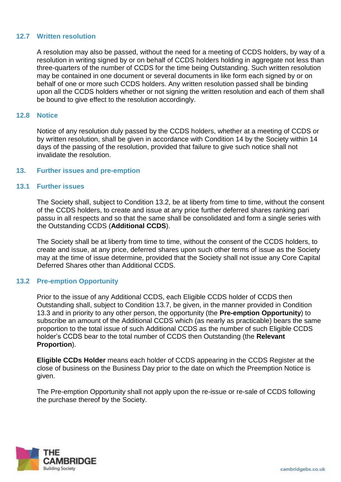## **12.7 Written resolution**

A resolution may also be passed, without the need for a meeting of CCDS holders, by way of a resolution in writing signed by or on behalf of CCDS holders holding in aggregate not less than three-quarters of the number of CCDS for the time being Outstanding. Such written resolution may be contained in one document or several documents in like form each signed by or on behalf of one or more such CCDS holders. Any written resolution passed shall be binding upon all the CCDS holders whether or not signing the written resolution and each of them shall be bound to give effect to the resolution accordingly.

#### **12.8 Notice**

Notice of any resolution duly passed by the CCDS holders, whether at a meeting of CCDS or by written resolution, shall be given in accordance with Condition 14 by the Society within 14 days of the passing of the resolution, provided that failure to give such notice shall not invalidate the resolution.

#### **13. Further issues and pre-emption**

#### **13.1 Further issues**

The Society shall, subject to Condition 13.2, be at liberty from time to time, without the consent of the CCDS holders, to create and issue at any price further deferred shares ranking pari passu in all respects and so that the same shall be consolidated and form a single series with the Outstanding CCDS (**Additional CCDS**).

The Society shall be at liberty from time to time, without the consent of the CCDS holders, to create and issue, at any price, deferred shares upon such other terms of issue as the Society may at the time of issue determine, provided that the Society shall not issue any Core Capital Deferred Shares other than Additional CCDS.

#### **13.2 Pre-emption Opportunity**

Prior to the issue of any Additional CCDS, each Eligible CCDS holder of CCDS then Outstanding shall, subject to Condition 13.7, be given, in the manner provided in Condition 13.3 and in priority to any other person, the opportunity (the **Pre-emption Opportunity**) to subscribe an amount of the Additional CCDS which (as nearly as practicable) bears the same proportion to the total issue of such Additional CCDS as the number of such Eligible CCDS holder's CCDS bear to the total number of CCDS then Outstanding (the **Relevant Proportion**).

**Eligible CCDs Holder** means each holder of CCDS appearing in the CCDS Register at the close of business on the Business Day prior to the date on which the Preemption Notice is given.

The Pre-emption Opportunity shall not apply upon the re-issue or re-sale of CCDS following the purchase thereof by the Society.

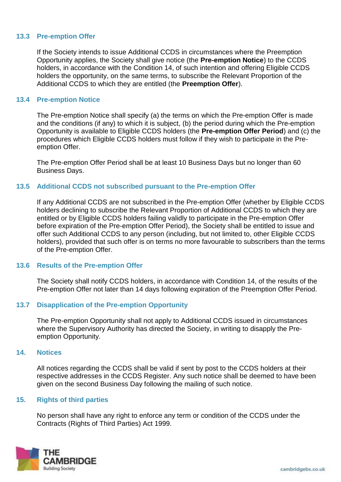## **13.3 Pre-emption Offer**

If the Society intends to issue Additional CCDS in circumstances where the Preemption Opportunity applies, the Society shall give notice (the **Pre-emption Notice**) to the CCDS holders, in accordance with the Condition 14, of such intention and offering Eligible CCDS holders the opportunity, on the same terms, to subscribe the Relevant Proportion of the Additional CCDS to which they are entitled (the **Preemption Offer**).

#### **13.4 Pre-emption Notice**

The Pre-emption Notice shall specify (a) the terms on which the Pre-emption Offer is made and the conditions (if any) to which it is subject, (b) the period during which the Pre-emption Opportunity is available to Eligible CCDS holders (the **Pre-emption Offer Period**) and (c) the procedures which Eligible CCDS holders must follow if they wish to participate in the Preemption Offer.

The Pre-emption Offer Period shall be at least 10 Business Days but no longer than 60 Business Days.

## **13.5 Additional CCDS not subscribed pursuant to the Pre-emption Offer**

If any Additional CCDS are not subscribed in the Pre-emption Offer (whether by Eligible CCDS holders declining to subscribe the Relevant Proportion of Additional CCDS to which they are entitled or by Eligible CCDS holders failing validly to participate in the Pre-emption Offer before expiration of the Pre-emption Offer Period), the Society shall be entitled to issue and offer such Additional CCDS to any person (including, but not limited to, other Eligible CCDS holders), provided that such offer is on terms no more favourable to subscribers than the terms of the Pre-emption Offer.

#### **13.6 Results of the Pre-emption Offer**

The Society shall notify CCDS holders, in accordance with Condition 14, of the results of the Pre-emption Offer not later than 14 days following expiration of the Preemption Offer Period.

#### **13.7 Disapplication of the Pre-emption Opportunity**

The Pre-emption Opportunity shall not apply to Additional CCDS issued in circumstances where the Supervisory Authority has directed the Society, in writing to disapply the Preemption Opportunity.

#### **14. Notices**

All notices regarding the CCDS shall be valid if sent by post to the CCDS holders at their respective addresses in the CCDS Register. Any such notice shall be deemed to have been given on the second Business Day following the mailing of such notice.

#### **15. Rights of third parties**

No person shall have any right to enforce any term or condition of the CCDS under the Contracts (Rights of Third Parties) Act 1999.

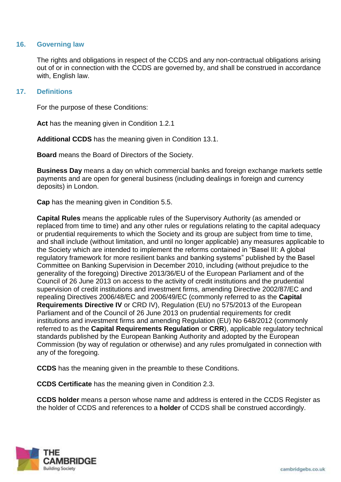## **16. Governing law**

The rights and obligations in respect of the CCDS and any non-contractual obligations arising out of or in connection with the CCDS are governed by, and shall be construed in accordance with, English law.

## **17. Definitions**

For the purpose of these Conditions:

**Act** has the meaning given in Condition 1.2.1

**Additional CCDS** has the meaning given in Condition 13.1.

**Board** means the Board of Directors of the Society.

**Business Day** means a day on which commercial banks and foreign exchange markets settle payments and are open for general business (including dealings in foreign and currency deposits) in London.

**Cap** has the meaning given in Condition 5.5.

**Capital Rules** means the applicable rules of the Supervisory Authority (as amended or replaced from time to time) and any other rules or regulations relating to the capital adequacy or prudential requirements to which the Society and its group are subject from time to time, and shall include (without limitation, and until no longer applicable) any measures applicable to the Society which are intended to implement the reforms contained in "Basel III: A global regulatory framework for more resilient banks and banking systems" published by the Basel Committee on Banking Supervision in December 2010, including (without prejudice to the generality of the foregoing) Directive 2013/36/EU of the European Parliament and of the Council of 26 June 2013 on access to the activity of credit institutions and the prudential supervision of credit institutions and investment firms, amending Directive 2002/87/EC and repealing Directives 2006/48/EC and 2006/49/EC (commonly referred to as the **Capital Requirements Directive IV** or CRD IV), Regulation (EU) no 575/2013 of the European Parliament and of the Council of 26 June 2013 on prudential requirements for credit institutions and investment firms and amending Regulation (EU) No 648/2012 (commonly referred to as the **Capital Requirements Regulation** or **CRR**), applicable regulatory technical standards published by the European Banking Authority and adopted by the European Commission (by way of regulation or otherwise) and any rules promulgated in connection with any of the foregoing.

**CCDS** has the meaning given in the preamble to these Conditions.

**CCDS Certificate** has the meaning given in Condition 2.3.

**CCDS holder** means a person whose name and address is entered in the CCDS Register as the holder of CCDS and references to a **holder** of CCDS shall be construed accordingly.

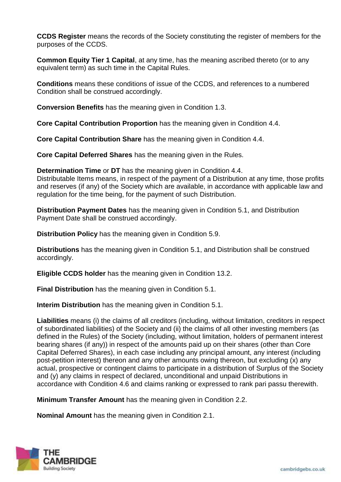**CCDS Register** means the records of the Society constituting the register of members for the purposes of the CCDS.

**Common Equity Tier 1 Capital**, at any time, has the meaning ascribed thereto (or to any equivalent term) as such time in the Capital Rules.

**Conditions** means these conditions of issue of the CCDS, and references to a numbered Condition shall be construed accordingly.

**Conversion Benefits** has the meaning given in Condition 1.3.

**Core Capital Contribution Proportion** has the meaning given in Condition 4.4.

**Core Capital Contribution Share** has the meaning given in Condition 4.4.

**Core Capital Deferred Shares** has the meaning given in the Rules.

**Determination Time** or **DT** has the meaning given in Condition 4.4.

Distributable Items means, in respect of the payment of a Distribution at any time, those profits and reserves (if any) of the Society which are available, in accordance with applicable law and regulation for the time being, for the payment of such Distribution.

**Distribution Payment Dates** has the meaning given in Condition 5.1, and Distribution Payment Date shall be construed accordingly.

**Distribution Policy** has the meaning given in Condition 5.9.

**Distributions** has the meaning given in Condition 5.1, and Distribution shall be construed accordingly.

**Eligible CCDS holder** has the meaning given in Condition 13.2.

**Final Distribution** has the meaning given in Condition 5.1.

**Interim Distribution** has the meaning given in Condition 5.1.

**Liabilities** means (i) the claims of all creditors (including, without limitation, creditors in respect of subordinated liabilities) of the Society and (ii) the claims of all other investing members (as defined in the Rules) of the Society (including, without limitation, holders of permanent interest bearing shares (if any)) in respect of the amounts paid up on their shares (other than Core Capital Deferred Shares), in each case including any principal amount, any interest (including post-petition interest) thereon and any other amounts owing thereon, but excluding (x) any actual, prospective or contingent claims to participate in a distribution of Surplus of the Society and (y) any claims in respect of declared, unconditional and unpaid Distributions in accordance with Condition 4.6 and claims ranking or expressed to rank pari passu therewith.

**Minimum Transfer Amount** has the meaning given in Condition 2.2.

**Nominal Amount** has the meaning given in Condition 2.1.

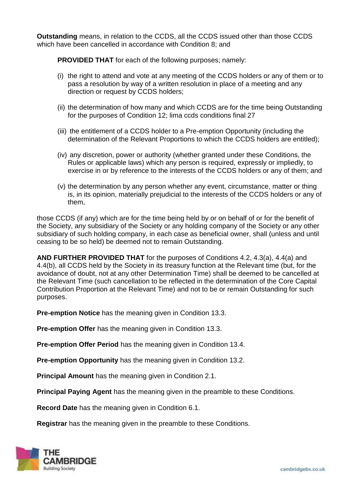**Outstanding** means, in relation to the CCDS, all the CCDS issued other than those CCDS which have been cancelled in accordance with Condition 8; and

**PROVIDED THAT** for each of the following purposes; namely:

- (i) the right to attend and vote at any meeting of the CCDS holders or any of them or to pass a resolution by way of a written resolution in place of a meeting and any direction or request by CCDS holders;
- (ii) the determination of how many and which CCDS are for the time being Outstanding for the purposes of Condition 12; lima ccds conditions final 27
- (iii) the entitlement of a CCDS holder to a Pre-emption Opportunity (including the determination of the Relevant Proportions to which the CCDS holders are entitled);
- (iv) any discretion, power or authority (whether granted under these Conditions, the Rules or applicable laws) which any person is required, expressly or impliedly, to exercise in or by reference to the interests of the CCDS holders or any of them; and
- (v) the determination by any person whether any event, circumstance, matter or thing is, in its opinion, materially prejudicial to the interests of the CCDS holders or any of them,

those CCDS (if any) which are for the time being held by or on behalf of or for the benefit of the Society, any subsidiary of the Society or any holding company of the Society or any other subsidiary of such holding company, in each case as beneficial owner, shall (unless and until ceasing to be so held) be deemed not to remain Outstanding.

**AND FURTHER PROVIDED THAT** for the purposes of Conditions 4.2, 4.3(a), 4.4(a) and 4.4(b), all CCDS held by the Society in its treasury function at the Relevant time (but, for the avoidance of doubt, not at any other Determination Time) shall be deemed to be cancelled at the Relevant Time (such cancellation to be reflected in the determination of the Core Capital Contribution Proportion at the Relevant Time) and not to be or remain Outstanding for such purposes.

**Pre-emption Notice** has the meaning given in Condition 13.3.

**Pre-emption Offer** has the meaning given in Condition 13.3.

**Pre-emption Offer Period** has the meaning given in Condition 13.4.

**Pre-emption Opportunity** has the meaning given in Condition 13.2.

**Principal Amount** has the meaning given in Condition 2.1.

**Principal Paying Agent** has the meaning given in the preamble to these Conditions.

**Record Date** has the meaning given in Condition 6.1.

**Registrar** has the meaning given in the preamble to these Conditions.

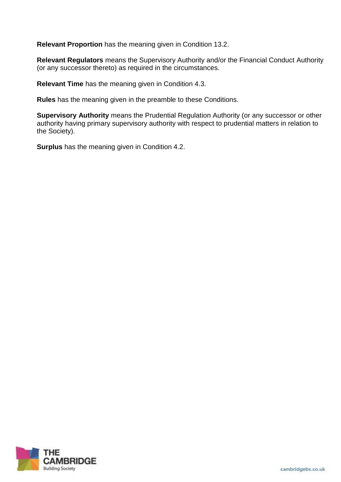**Relevant Proportion** has the meaning given in Condition 13.2.

**Relevant Regulators** means the Supervisory Authority and/or the Financial Conduct Authority (or any successor thereto) as required in the circumstances.

**Relevant Time** has the meaning given in Condition 4.3.

**Rules** has the meaning given in the preamble to these Conditions.

**Supervisory Authority** means the Prudential Regulation Authority (or any successor or other authority having primary supervisory authority with respect to prudential matters in relation to the Society).

**Surplus** has the meaning given in Condition 4.2.